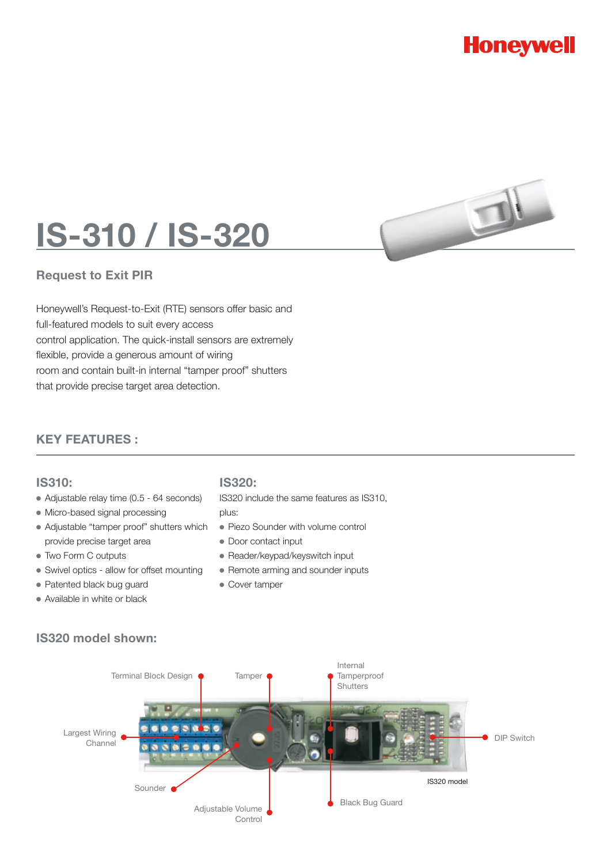



### **Request to Exit PIR**

Honeywell's Request-to-Exit (RTE) sensors offer basic and full-featured models to suit every access control application. The quick-install sensors are extremely flexible, provide a generous amount of wiring room and contain built-in internal "tamper proof" shutters that provide precise target area detection.

## **KEY FEATURES :**

#### **IS310:**

- Adjustable relay time (0.5 64 seconds)
- Micro-based signal processing
- Adjustable "tamper proof" shutters which provide precise target area
- Two Form C outputs
- Swivel optics allow for offset mounting
- Patented black bug guard
- Available in white or black

# **IS320:**

IS320 include the same features as IS310,

- plus:
- Piezo Sounder with volume control
- Door contact input
- Reader/keypad/keyswitch input
- Remote arming and sounder inputs
- Cover tamper

## **IS320 model shown:**